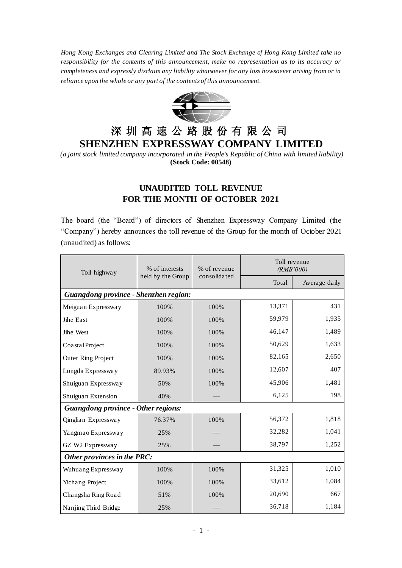*Hong Kong Exchanges and Clearing Limited and The Stock Exchange of Hong Kong Limited take no responsibility for the contents of this announcement, make no representation as to its accuracy or completeness and expressly disclaim any liability whatsoever for any loss howsoever arising from or in reliance upon the whole or any part of the contents of this announcement.*



## 深 圳 高 速 公 路 股 份 有 限 公 司 **SHENZHEN EXPRESSWAY COMPANY LIMITED**

*(a joint stock limited company incorporated in the People's Republic of China with limited liability)* **(Stock Code: 00548)**

## **UNAUDITED TOLL REVENUE FOR THE MONTH OF OCTOBER 2021**

The board (the "Board") of directors of Shenzhen Expressway Company Limited (the "Company") hereby announces the toll revenue of the Group for the month of October 2021 (unaudited) as follows:

| Toll highway                               | % of interests<br>held by the Group | % of revenue<br>consolidated | Toll revenue<br>(RMB'000) |               |
|--------------------------------------------|-------------------------------------|------------------------------|---------------------------|---------------|
|                                            |                                     |                              | Total                     | Average daily |
| Guangdong province - Shenzhen region:      |                                     |                              |                           |               |
| Meiguan Expressway                         | 100%                                | 100%                         | 13,371                    | 431           |
| Jihe East                                  | 100%                                | 100%                         | 59,979                    | 1,935         |
| Jihe West                                  | 100%                                | 100%                         | 46,147                    | 1,489         |
| CoastalProject                             | 100%                                | 100%                         | 50,629                    | 1,633         |
| <b>Outer Ring Project</b>                  | 100%                                | 100%                         | 82,165                    | 2,650         |
| Longda Expressway                          | 89.93%                              | 100%                         | 12,607                    | 407           |
| Shuiguan Expressway                        | 50%                                 | 100%                         | 45,906                    | 1,481         |
| Shuiguan Extension                         | 40%                                 |                              | 6,125                     | 198           |
| <b>Guangdong province - Other regions:</b> |                                     |                              |                           |               |
| Qinglian Expressway                        | 76.37%                              | 100%                         | 56,372                    | 1,818         |
| Yangmao Expressway                         | 25%                                 |                              | 32,282                    | 1,041         |
| GZ W2 Expressway                           | 25%                                 |                              | 38,797                    | 1,252         |
| Other provinces in the PRC:                |                                     |                              |                           |               |
| Wuhuang Expressway                         | 100%                                | 100%                         | 31,325                    | 1,010         |
| Yichang Project                            | 100%                                | 100%                         | 33,612                    | 1,084         |
| Changsha Ring Road                         | 51%                                 | 100%                         | 20,690                    | 667           |
| Nanjing Third Bridge                       | 25%                                 |                              | 36,718                    | 1,184         |